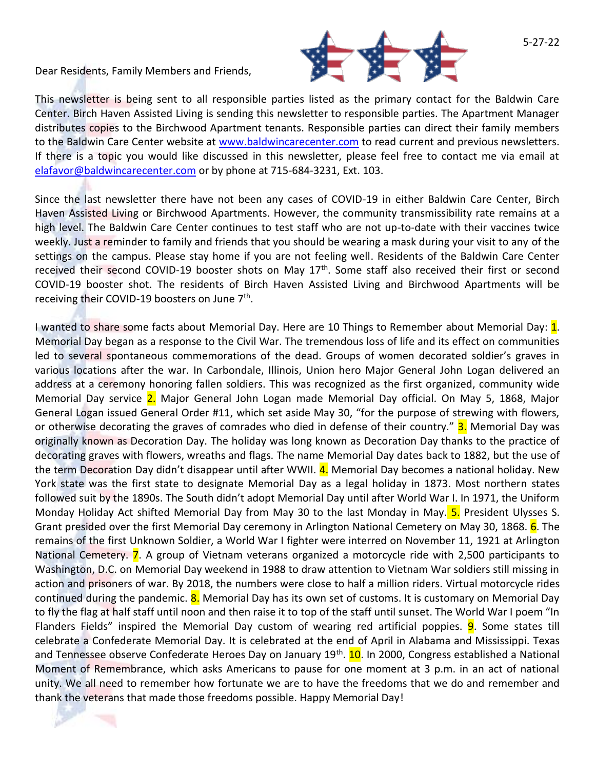Dear Residents, Family Members and Friends,



This newsletter is being sent to all responsible parties listed as the primary contact for the Baldwin Care Center. Birch Haven Assisted Living is sending this newsletter to responsible parties. The Apartment Manager distributes copies to the Birchwood Apartment tenants. Responsible parties can direct their family members to the Baldwin Care Center website at [www.baldwincarecenter.com](http://www.baldwincarecenter.com/) to read current and previous newsletters. If there is a topic you would like discussed in this newsletter, please feel free to contact me via email at [elafavor@baldwincarecenter.com](mailto:elafavor@baldwincarecenter.com) or by phone at 715-684-3231, Ext. 103.

Since the last newsletter there have not been any cases of COVID-19 in either Baldwin Care Center, Birch Haven Assisted Living or Birchwood Apartments. However, the community transmissibility rate remains at a high level. The Baldwin Care Center continues to test staff who are not up-to-date with their vaccines twice weekly. Just a reminder to family and friends that you should be wearing a mask during your visit to any of the settings on the campus. Please stay home if you are not feeling well. Residents of the Baldwin Care Center received their second COVID-19 booster shots on May 17<sup>th</sup>. Some staff also received their first or second COVID-19 booster shot. The residents of Birch Haven Assisted Living and Birchwood Apartments will be receiving their COVID-19 boosters on June 7<sup>th</sup>.

I wanted to share some facts about Memorial Day. Here are 10 Things to Remember about Memorial Day:  $\mathbf{1}$ . Memorial Day began as a response to the Civil War. The tremendous loss of life and its effect on communities led to several spontaneous commemorations of the dead. Groups of women decorated soldier's graves in various locations after the war. In Carbondale, Illinois, Union hero Major General John Logan delivered an address at a ceremony honoring fallen soldiers. This was recognized as the first organized, community wide Memorial Day service 2. Major General John Logan made Memorial Day official. On May 5, 1868, Major General Logan issued General Order #11, which set aside May 30, "for the purpose of strewing with flowers, or otherwise decorating the graves of comrades who died in defense of their country." **3.** Memorial Day was originally known as Decoration Day. The holiday was long known as Decoration Day thanks to the practice of decorating graves with flowers, wreaths and flags. The name Memorial Day dates back to 1882, but the use of the term Decoration Day didn't disappear until after WWII. 4. Memorial Day becomes a national holiday. New York state was the first state to designate Memorial Day as a legal holiday in 1873. Most northern states followed suit by the 1890s. The South didn't adopt Memorial Day until after World War I. In 1971, the Uniform Monday Holiday Act shifted Memorial Day from May 30 to the last Monday in May. 5. President Ulysses S. Grant presided over the first Memorial Day ceremony in Arlington National Cemetery on May 30, 1868. 6. The remains of the first Unknown Soldier, a World War I fighter were interred on November 11, 1921 at Arlington National Cemetery. 7. A group of Vietnam veterans organized a motorcycle ride with 2,500 participants to Washington, D.C. on Memorial Day weekend in 1988 to draw attention to Vietnam War soldiers still missing in action and prisoners of war. By 2018, the numbers were close to half a million riders. Virtual motorcycle rides continued during the pandemic. 8. Memorial Day has its own set of customs. It is customary on Memorial Day to fly the flag at half staff until noon and then raise it to top of the staff until sunset. The World War I poem "In Flanders Fields" inspired the Memorial Day custom of wearing red artificial poppies. **9**. Some states till celebrate a Confederate Memorial Day. It is celebrated at the end of April in Alabama and Mississippi. Texas and Tennessee observe Confederate Heroes Day on January 19<sup>th</sup>. <mark>10</mark>. In 2000, Congress established a National Moment of Remembrance, which asks Americans to pause for one moment at 3 p.m. in an act of national unity. We all need to remember how fortunate we are to have the freedoms that we do and remember and thank the veterans that made those freedoms possible. Happy Memorial Day!